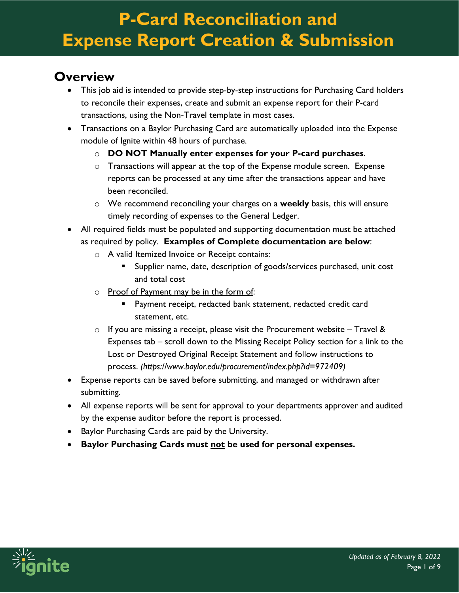#### **Overview**

- This job aid is intended to provide step-by-step instructions for Purchasing Card holders to reconcile their expenses, create and submit an expense report for their P-card transactions, using the Non-Travel template in most cases.
- Transactions on a Baylor Purchasing Card are automatically uploaded into the Expense module of Ignite within 48 hours of purchase.
	- o **DO NOT Manually enter expenses for your P-card purchases**.
	- o Transactions will appear at the top of the Expense module screen. Expense reports can be processed at any time after the transactions appear and have been reconciled.
	- o We recommend reconciling your charges on a **weekly** basis, this will ensure timely recording of expenses to the General Ledger.
- All required fields must be populated and supporting documentation must be attached as required by policy. **Examples of Complete documentation are below**:
	- o A valid Itemized Invoice or Receipt contains:
		- Supplier name, date, description of goods/services purchased, unit cost and total cost
	- o Proof of Payment may be in the form of:
		- Payment receipt, redacted bank statement, redacted credit card statement, etc.
	- $\circ$  If you are missing a receipt, please visit the Procurement website Travel & Expenses tab – scroll down to the Missing Receipt Policy section for a link to the Lost or Destroyed Original Receipt Statement and follow instructions to process. *(https://www.baylor.edu/procurement/index.php?id=972409)*
- Expense reports can be saved before submitting, and managed or withdrawn after submitting.
- All expense reports will be sent for approval to your departments approver and audited by the expense auditor before the report is processed.
- Baylor Purchasing Cards are paid by the University.
- **Baylor Purchasing Cards must not be used for personal expenses.**

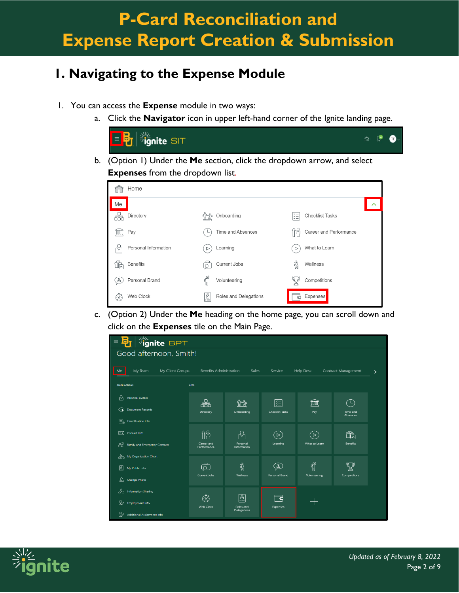#### **1. Navigating to the Expense Module**

- 1. You can access the **Expense** module in two ways:
	- a. Click the **Navigator** icon in upper left-hand corner of the Ignite landing page.





c. (Option 2) Under the **Me** heading on the home page, you can scroll down and click on the **Expenses** tile on the Main Page.

| $\equiv$      | $ \frac{\sqrt[3]{2}}{2} $ ignite BPT<br>o, |                                |                         |                                    |                  |                            |   |
|---------------|--------------------------------------------|--------------------------------|-------------------------|------------------------------------|------------------|----------------------------|---|
|               | Good afternoon, Smith!                     |                                |                         |                                    |                  |                            |   |
| Me            | My Client Groups<br>My Team                | <b>Benefits Administration</b> | Sales                   | Service                            | <b>Help Desk</b> | <b>Contract Management</b> | ⋋ |
| QUICK ACTIONS |                                            | <b>APPS</b>                    |                         |                                    |                  |                            |   |
| ଚ             | <b>Personal Details</b>                    | සිං                            |                         | 距                                  | ĴWQ              | י∟ ⁄                       |   |
| ⊕১            | <b>Document Records</b>                    | Directory                      | Onboarding              | <b>Checklist Tasks</b>             | Pay              | Time and<br>Absences       |   |
| ER            | Identification Info                        |                                |                         |                                    |                  |                            |   |
|               | Contact Info                               | îň                             | ∜                       | $\triangleright$                   | $\triangleright$ | ঞী                         |   |
|               | Fig. Family and Emergency Contacts         | Career and<br>Performance      | Personal<br>Information | Learning                           | What to Learn    | Benefits                   |   |
| æ.            | My Organization Chart                      |                                |                         |                                    |                  |                            |   |
| 圖             | My Public Info                             | €                              | ℁                       | ෯                                  | <b>PRO</b>       |                            |   |
| 상             | Change Photo                               | Current Jobs                   | Wellness                | Personal Brand                     | Volunteering     | Competitions               |   |
|               | A <sub>nd</sub> Information Sharing        |                                |                         |                                    |                  |                            |   |
| ₩             | <b>Employment Info</b>                     | ۞<br><b>Web Clock</b>          | မြို့<br>Roles and      | $\vec{\bullet}$<br><b>Expenses</b> |                  |                            |   |
| ₩             | Additional Assignment Info                 |                                | Delegations             |                                    |                  |                            |   |

![](_page_1_Picture_8.jpeg)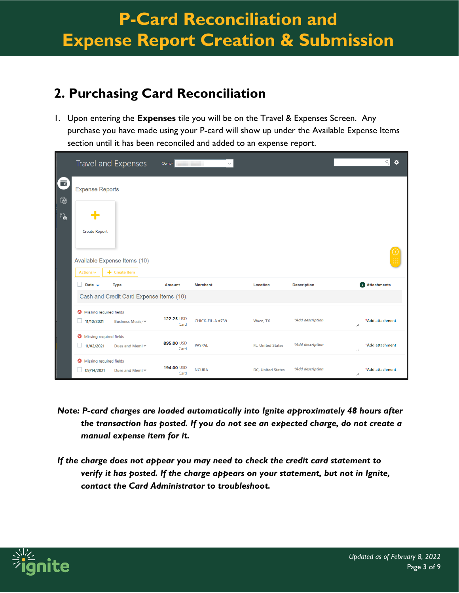#### **2. Purchasing Card Reconciliation**

1. Upon entering the **Expenses** tile you will be on the Travel & Expenses Screen. Any purchase you have made using your P-card will show up under the Available Expense Items section until it has been reconciled and added to an expense report.

|                                                |                         | Travel and Expenses                             |                    | Owner<br>$\checkmark$ |                          |                    |    | $Q$<br>$\ddot{\alpha}$      |
|------------------------------------------------|-------------------------|-------------------------------------------------|--------------------|-----------------------|--------------------------|--------------------|----|-----------------------------|
| $\overline{\phantom{a}}$<br>$\bar{\mathbb{Q}}$ | <b>Expense Reports</b>  |                                                 |                    |                       |                          |                    |    |                             |
| $\mathbb{Q}$                                   |                         |                                                 |                    |                       |                          |                    |    |                             |
|                                                | <b>Create Report</b>    |                                                 |                    |                       |                          |                    |    |                             |
|                                                |                         | Available Expense Items (10)                    |                    |                       |                          |                    |    |                             |
|                                                | Actions $\sim$          | $+$ Create Item                                 |                    |                       |                          |                    |    |                             |
|                                                | Date $\rightarrow$      | Type<br>Cash and Credit Card Expense Items (10) | <b>Amount</b>      | <b>Merchant</b>       | Location                 | <b>Description</b> |    | <b><i>i</i></b> Attachments |
|                                                | Missing required fields |                                                 |                    |                       |                          |                    |    |                             |
|                                                | 11/10/2021              | Business Meals/ Y                               | 122.25 USD<br>Card | CHICK-FIL-A #739      | Waco, TX                 | *Add description   | h  | *Add attachment             |
|                                                | Missing required fields |                                                 | 895.00 USD         |                       |                          |                    |    |                             |
|                                                | 11/02/2021              | Dues and Meml Y                                 | Card               | <b>PAYPAL</b>         | <b>FL. United States</b> | *Add description   | // | *Add attachment             |
|                                                | Missing required fields |                                                 |                    |                       |                          |                    |    |                             |
|                                                | 09/14/2021              | Dues and Meml Y                                 | 194.00 USD<br>Card | <b>NCURA</b>          | <b>DC, United States</b> | *Add description   | // | *Add attachment             |

- *Note: P-card charges are loaded automatically into Ignite approximately 48 hours after the transaction has posted. If you do not see an expected charge, do not create a manual expense item for it.*
- *If the charge does not appear you may need to check the credit card statement to verify it has posted. If the charge appears on your statement, but not in Ignite, contact the Card Administrator to troubleshoot.*

![](_page_2_Picture_6.jpeg)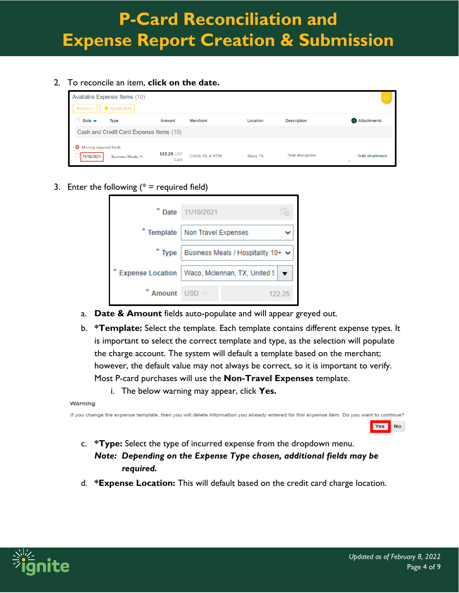2. To reconcile an item, **click on the date.**

| Actions $\vee$                             | Available Expense Items (10)<br>$+$ Create Item |                    |                  |          |                    |                      |
|--------------------------------------------|-------------------------------------------------|--------------------|------------------|----------|--------------------|----------------------|
| Date $\rightarrow$                         | Type<br>Cash and Credit Card Expense Items (10) | <b>Amount</b>      | <b>Merchant</b>  | Location | <b>Description</b> | <b>Attachments</b>   |
| Missing required fields<br>☺<br>11/10/2021 | Business Meals/ Y                               | 122.25 USD<br>Card | CHICK-FIL-A #739 | Waco, TX | *Add description   | *Add attachment<br>h |

3. Enter the following  $(* = required field)$ 

|                         | * Date 11/10/2021                  |  |        |
|-------------------------|------------------------------------|--|--------|
| * Template              | Non Travel Expenses                |  |        |
| $*$ Type                | Business Meals / Hospitality 10+ V |  |        |
| <b>Expense Location</b> | Waco, Mclennan, TX, United S       |  |        |
| Amount                  | <b>LISD</b>                        |  | 122.25 |

- a. **Date & Amount** fields auto-populate and will appear greyed out.
- b. **\*Template:** Select the template. Each template contains different expense types. It is important to select the correct template and type, as the selection will populate the charge account. The system will default a template based on the merchant; however, the default value may not always be correct, so it is important to verify. Most P-card purchases will use the **Non-Travel Expenses** template.
	- i. The below warning may appear, click **Yes.**

#### Warning

If you change the expense template, then you will delete information you already entered for this expense item. Do you want to continue?

- c. **\*Type:** Select the type of incurred expense from the dropdown menu. *Note: Depending on the Expense Type chosen, additional fields may be required.*
- d. **\*Expense Location:** This will default based on the credit card charge location.

![](_page_3_Picture_12.jpeg)

Yes

No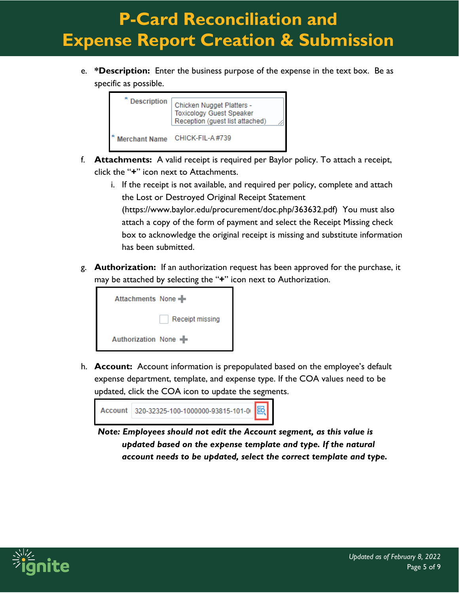e. **\*Description:** Enter the business purpose of the expense in the text box. Be as specific as possible.

![](_page_4_Picture_2.jpeg)

- f. **Attachments:** A valid receipt is required per Baylor policy. To attach a receipt, click the "**+**" icon next to Attachments.
	- i. If the receipt is not available, and required per policy, complete and attach the Lost or Destroyed Original Receipt Statement

(https://www.baylor.edu/procurement/doc.php/363632.pdf) You must also attach a copy of the form of payment and select the Receipt Missing check box to acknowledge the original receipt is missing and substitute information has been submitted.

g. **Authorization:** If an authorization request has been approved for the purchase, it may be attached by selecting the "**+**" icon next to Authorization.

![](_page_4_Picture_7.jpeg)

h. **Account:** Account information is prepopulated based on the employee's default expense department, template, and expense type. If the COA values need to be updated, click the COA icon to update the segments.

![](_page_4_Picture_9.jpeg)

*Note: Employees should not edit the Account segment, as this value is updated based on the expense template and type. If the natural account needs to be updated, select the correct template and type.* 

![](_page_4_Picture_11.jpeg)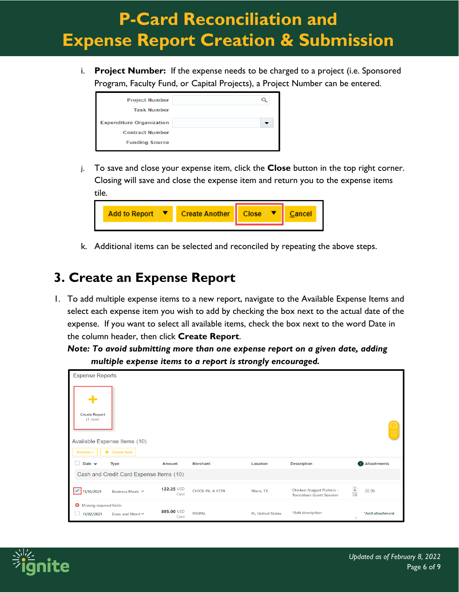i. **Project Number:** If the expense needs to be charged to a project (i.e. Sponsored Program, Faculty Fund, or Capital Projects), a Project Number can be entered.

| <b>Project Number</b>           |  |
|---------------------------------|--|
| <b>Task Number</b>              |  |
| <b>Expenditure Organization</b> |  |
| <b>Contract Number</b>          |  |
| <b>Funding Source</b>           |  |

j. To save and close your expense item, click the **Close** button in the top right corner. Closing will save and close the expense item and return you to the expense items tile.

| <b>Add to Report</b> | Create Another   Close |  | <b>Tel.</b> |  |
|----------------------|------------------------|--|-------------|--|
|                      |                        |  |             |  |

k. Additional items can be selected and reconciled by repeating the above steps.

#### **3. Create an Expense Report**

1. To add multiple expense items to a new report, navigate to the Available Expense Items and select each expense item you wish to add by checking the box next to the actual date of the expense. If you want to select all available items, check the box next to the word Date in the column header, then click **Create Report**.

*Note: To avoid submitting more than one expense report on a given date, adding multiple expense items to a report is strongly encouraged.*

| <b>Expense Reports</b>                     |                                         |                    |                  |                          |                                                                     |                                      |
|--------------------------------------------|-----------------------------------------|--------------------|------------------|--------------------------|---------------------------------------------------------------------|--------------------------------------|
| <b>Create Report</b><br>$(1$ item)         | Available Expense Items (10)            |                    |                  |                          |                                                                     |                                      |
| Actions $\smallsmile$                      | $+$ Create Item                         |                    |                  |                          |                                                                     |                                      |
| Date $\rightarrow$                         | Type                                    | <b>Amount</b>      | <b>Merchant</b>  | Location                 | <b>Description</b>                                                  | <b>Attachments</b>                   |
|                                            | Cash and Credit Card Expense Items (10) |                    |                  |                          |                                                                     |                                      |
| 11/10/2021<br>$\checkmark$                 | Business Meals Y                        | 122.25 USD<br>Card | CHICK-FIL-A #739 | Waco, TX                 | <b>Chicken Nugget Platters -</b><br><b>Toxicology Guest Speaker</b> | $\frac{1}{\epsilon}$<br>$\equiv$ (1) |
| ◙<br>Missing required fields<br>11/02/2021 | Dues and Meml Y                         | 895.00 USD<br>Card | <b>PAYPAL</b>    | <b>FL, United States</b> | *Add description                                                    | *Add attachment<br>11                |

![](_page_5_Picture_10.jpeg)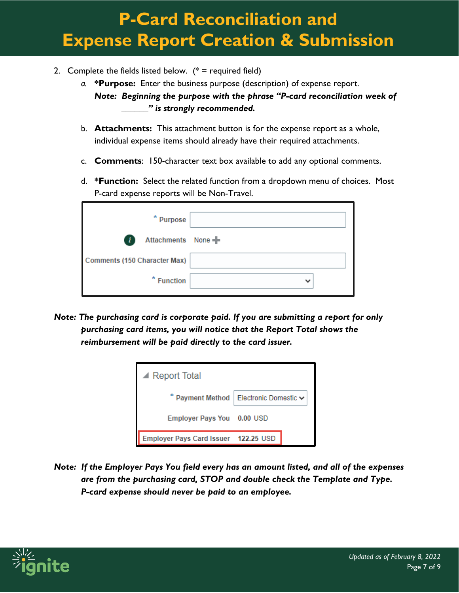- 2. Complete the fields listed below.  $(* =$  required field)
	- *a.* **\*Purpose:** Enter the business purpose (description) of expense report. *Note: Beginning the purpose with the phrase "P-card reconciliation week of \_\_\_\_\_\_" is strongly recommended.*
	- b. **Attachments:** This attachment button is for the expense report as a whole, individual expense items should already have their required attachments.
	- c. **Comments**: 150-character text box available to add any optional comments.
	- d. **\*Function:** Select the related function from a dropdown menu of choices. Most P-card expense reports will be Non-Travel.

| * Purpose                           |  |
|-------------------------------------|--|
| Attachments None<br>$\overline{u}$  |  |
| <b>Comments (150 Character Max)</b> |  |
| * Function                          |  |

*Note: The purchasing card is corporate paid. If you are submitting a report for only purchasing card items, you will notice that the Report Total shows the reimbursement will be paid directly to the card issuer.*

| $\blacktriangle$ Report Total                     |  |  |  |  |
|---------------------------------------------------|--|--|--|--|
| * Payment Method   Electronic Domestic $\backsim$ |  |  |  |  |
| Employer Pays You 0.00 USD                        |  |  |  |  |
| Employer Pays Card Issuer 122.25 USD              |  |  |  |  |

*Note: If the Employer Pays You field every has an amount listed, and all of the expenses are from the purchasing card, STOP and double check the Template and Type. P-card expense should never be paid to an employee.*

![](_page_6_Picture_10.jpeg)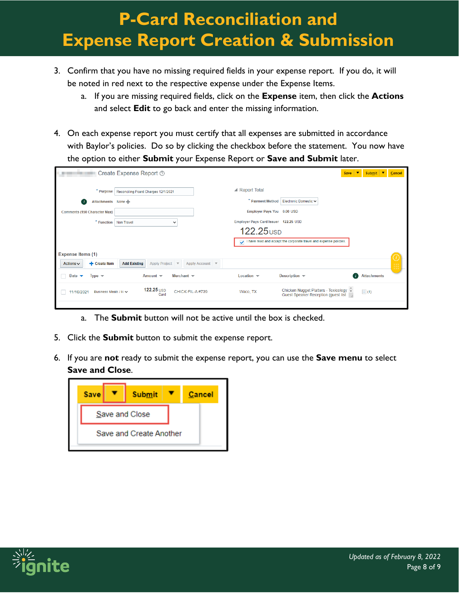- 3. Confirm that you have no missing required fields in your expense report. If you do, it will be noted in red next to the respective expense under the Expense Items.
	- a. If you are missing required fields, click on the **Expense** item, then click the **Actions** and select **Edit** to go back and enter the missing information.
- 4. On each expense report you must certify that all expenses are submitted in accordance with Baylor's policies. Do so by clicking the checkbox before the statement. You now have the option to either **Submit** your Expense Report or **Save and Submit** later.

|                                                         | <b>Create Expense Report 7</b>                               |                                      | <b>Save</b>                                                                               | l.▼.<br>Submit $\blacktriangledown$ | Cancel |
|---------------------------------------------------------|--------------------------------------------------------------|--------------------------------------|-------------------------------------------------------------------------------------------|-------------------------------------|--------|
| * Purpose                                               | Reconciling Pcard Charges 12/1/2021                          | $\blacktriangle$ Report Total        |                                                                                           |                                     |        |
| Attachments None<br>$\mathbf{r}$                        |                                                              | * Payment Method                     | Electronic Domestic ~                                                                     |                                     |        |
| <b>Comments (150 Character Max)</b>                     |                                                              | Employer Pays You 0.00 USD           |                                                                                           |                                     |        |
| $*$ Function                                            | <b>Non Travel</b><br>$\checkmark$                            | Employer Pays Card Issuer 122.25 USD |                                                                                           |                                     |        |
|                                                         |                                                              | 122.25 <sub>USD</sub>                |                                                                                           |                                     |        |
|                                                         |                                                              | $\checkmark$                         | I have read and accept the corporate travel and expense policies.                         |                                     |        |
| <b>Expense Items (1)</b>                                |                                                              |                                      |                                                                                           |                                     |        |
| + Create Item<br>Actions $\sim$                         | <b>Add Existing</b><br>Apply Account ▼<br>Apply Project ▼    |                                      |                                                                                           |                                     |        |
| Date $\blacktriangleright$<br>Type $\blacktriangledown$ | Merchant $\blacktriangledown$<br>Amount $\blacktriangledown$ | Location $\blacktriangledown$        | Description $\blacktriangledown$                                                          | <b>Attachments</b><br>Πi            |        |
| Business Meals / H $\vee$<br>11/10/2021                 | $122.25$ USD<br>CHICK-FIL-A#739<br>Card                      | Waco, TX                             | Chicken Nugget Platters - Toxicology $\Rightarrow$<br>Guest Speaker Reception (guest list | $\equiv$ (1)                        |        |
|                                                         |                                                              |                                      |                                                                                           |                                     |        |

#### a. The **Submit** button will not be active until the box is checked.

- 5. Click the **Submit** button to submit the expense report.
- 6. If you are **not** ready to submit the expense report, you can use the **Save menu** to select **Save and Close**.

![](_page_7_Figure_8.jpeg)

![](_page_7_Picture_9.jpeg)